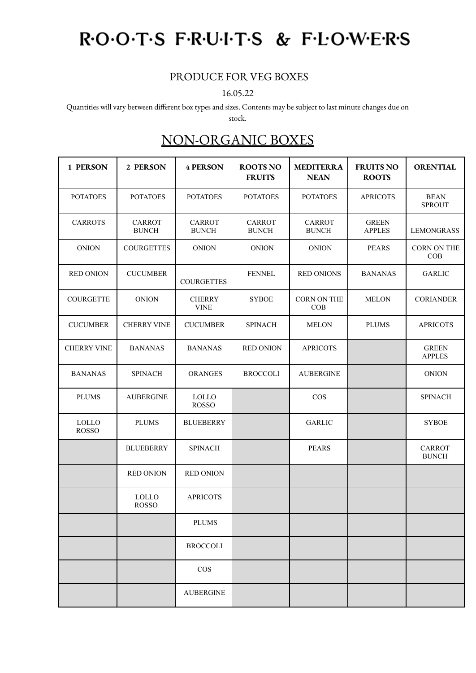# ROOTS FRUITS & FLOWERS

### PRODUCE FOR VEG BOXES

#### 16.05.22

Quantities will vary between different box types and sizes. Contents may be subject to last minute changes due on

stock.

## NON-ORGANIC BOXES

| 1 PERSON                     | 2 PERSON                      | <b>4 PERSON</b>               | <b>ROOTS NO</b><br><b>FRUITS</b> | <b>MEDITERRA</b><br><b>NEAN</b> | <b>FRUITS NO</b><br><b>ROOTS</b> | <b>ORENTIAL</b>               |
|------------------------------|-------------------------------|-------------------------------|----------------------------------|---------------------------------|----------------------------------|-------------------------------|
| <b>POTATOES</b>              | <b>POTATOES</b>               | <b>POTATOES</b>               | <b>POTATOES</b>                  | <b>POTATOES</b>                 | <b>APRICOTS</b>                  | <b>BEAN</b><br><b>SPROUT</b>  |
| <b>CARROTS</b>               | <b>CARROT</b><br><b>BUNCH</b> | <b>CARROT</b><br><b>BUNCH</b> | <b>CARROT</b><br><b>BUNCH</b>    | <b>CARROT</b><br><b>BUNCH</b>   | <b>GREEN</b><br><b>APPLES</b>    | <b>LEMONGRASS</b>             |
| <b>ONION</b>                 | <b>COURGETTES</b>             | <b>ONION</b>                  | <b>ONION</b>                     | <b>ONION</b>                    | <b>PEARS</b>                     | CORN ON THE<br>COB            |
| <b>RED ONION</b>             | <b>CUCUMBER</b>               | <b>COURGETTES</b>             | <b>FENNEL</b>                    | <b>RED ONIONS</b>               | <b>BANANAS</b>                   | <b>GARLIC</b>                 |
| <b>COURGETTE</b>             | <b>ONION</b>                  | <b>CHERRY</b><br><b>VINE</b>  | <b>SYBOE</b>                     | <b>CORN ON THE</b><br>COB       | <b>MELON</b>                     | <b>CORIANDER</b>              |
| <b>CUCUMBER</b>              | <b>CHERRY VINE</b>            | <b>CUCUMBER</b>               | <b>SPINACH</b>                   | <b>MELON</b>                    | <b>PLUMS</b>                     | <b>APRICOTS</b>               |
| <b>CHERRY VINE</b>           | <b>BANANAS</b>                | <b>BANANAS</b>                | <b>RED ONION</b>                 | <b>APRICOTS</b>                 |                                  | <b>GREEN</b><br><b>APPLES</b> |
| <b>BANANAS</b>               | <b>SPINACH</b>                | <b>ORANGES</b>                | <b>BROCCOLI</b>                  | <b>AUBERGINE</b>                |                                  | <b>ONION</b>                  |
| <b>PLUMS</b>                 | <b>AUBERGINE</b>              | <b>LOLLO</b><br><b>ROSSO</b>  |                                  | <b>COS</b>                      |                                  | <b>SPINACH</b>                |
| <b>LOLLO</b><br><b>ROSSO</b> | <b>PLUMS</b>                  | <b>BLUEBERRY</b>              |                                  | <b>GARLIC</b>                   |                                  | <b>SYBOE</b>                  |
|                              | <b>BLUEBERRY</b>              | <b>SPINACH</b>                |                                  | <b>PEARS</b>                    |                                  | <b>CARROT</b><br><b>BUNCH</b> |
|                              | <b>RED ONION</b>              | <b>RED ONION</b>              |                                  |                                 |                                  |                               |
|                              | <b>LOLLO</b><br><b>ROSSO</b>  | <b>APRICOTS</b>               |                                  |                                 |                                  |                               |
|                              |                               | <b>PLUMS</b>                  |                                  |                                 |                                  |                               |
|                              |                               | <b>BROCCOLI</b>               |                                  |                                 |                                  |                               |
|                              |                               | $\cos$                        |                                  |                                 |                                  |                               |
|                              |                               | <b>AUBERGINE</b>              |                                  |                                 |                                  |                               |